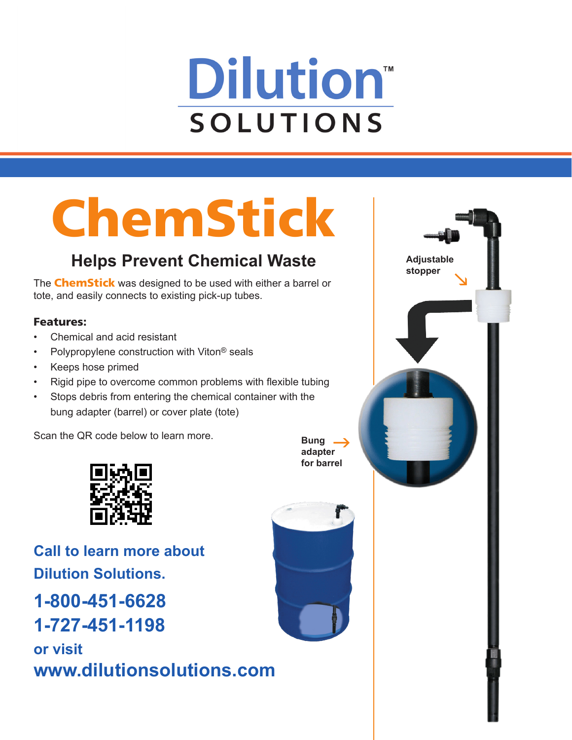# **Dilution SOLUTIONS**

# ChemStick

## **Helps Prevent Chemical Waste**

The **ChemStick** was designed to be used with either a barrel or tote, and easily connects to existing pick-up tubes.

#### Features:

- Chemical and acid resistant
- Polypropylene construction with Viton<sup>®</sup> seals
- Keeps hose primed
- Rigid pipe to overcome common problems with flexible tubing
- Stops debris from entering the chemical container with the bung adapter (barrel) or cover plate (tote)

Scan the QR code below to learn more.



**Call to learn more about Dilution Solutions. 1-800-451-6628 1-727-451-1198 or visit www.dilutionsolutions.com**



**Bung adapter for barrel**